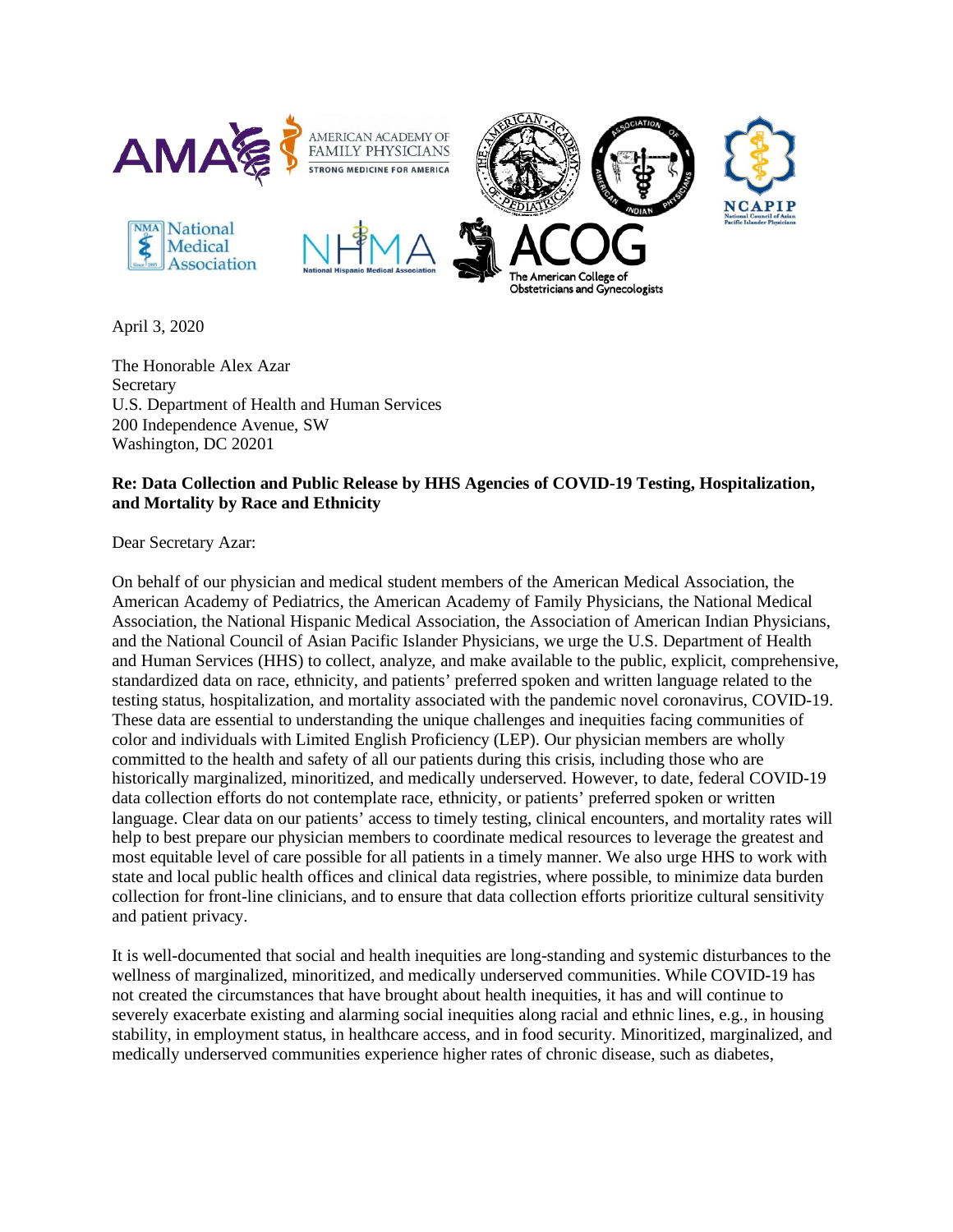

April 3, 2020

The Honorable Alex Azar **Secretary** U.S. Department of Health and Human Services 200 Independence Avenue, SW Washington, DC 20201

## **Re: Data Collection and Public Release by HHS Agencies of COVID-19 Testing, Hospitalization, and Mortality by Race and Ethnicity**

Dear Secretary Azar:

On behalf of our physician and medical student members of the American Medical Association, the American Academy of Pediatrics, the American Academy of Family Physicians, the National Medical Association, the National Hispanic Medical Association, the Association of American Indian Physicians, and the National Council of Asian Pacific Islander Physicians, we urge the U.S. Department of Health and Human Services (HHS) to collect, analyze, and make available to the public, explicit, comprehensive, standardized data on race, ethnicity, and patients' preferred spoken and written language related to the testing status, hospitalization, and mortality associated with the pandemic novel coronavirus, COVID-19. These data are essential to understanding the unique challenges and inequities facing communities of color and individuals with Limited English Proficiency (LEP). Our physician members are wholly committed to the health and safety of all our patients during this crisis, including those who are historically marginalized, minoritized, and medically underserved. However, to date, federal COVID-19 data collection efforts do not contemplate race, ethnicity, or patients' preferred spoken or written language. Clear data on our patients' access to timely testing, clinical encounters, and mortality rates will help to best prepare our physician members to coordinate medical resources to leverage the greatest and most equitable level of care possible for all patients in a timely manner. We also urge HHS to work with state and local public health offices and clinical data registries, where possible, to minimize data burden collection for front-line clinicians, and to ensure that data collection efforts prioritize cultural sensitivity and patient privacy.

It is well-documented that social and health inequities are long-standing and systemic disturbances to the wellness of marginalized, minoritized, and medically underserved communities. While COVID-19 has not created the circumstances that have brought about health inequities, it has and will continue to severely exacerbate existing and alarming social inequities along racial and ethnic lines, e.g., in housing stability, in employment status, in healthcare access, and in food security. Minoritized, marginalized, and medically underserved communities experience higher rates of chronic disease, such as diabetes,